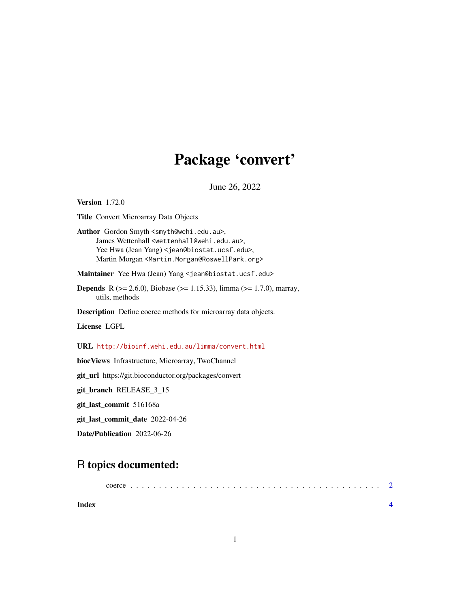## Package 'convert'

June 26, 2022

## <span id="page-0-0"></span>Version 1.72.0 Title Convert Microarray Data Objects Author Gordon Smyth <smyth@wehi.edu.au>, James Wettenhall <wettenhall@wehi.edu.au>, Yee Hwa (Jean Yang) <jean@biostat.ucsf.edu>, Martin Morgan <Martin.Morgan@RoswellPark.org> Maintainer Yee Hwa (Jean) Yang <jean@biostat.ucsf.edu> **Depends** R ( $>= 2.6.0$ ), Biobase ( $>= 1.15.33$ ), limma ( $>= 1.7.0$ ), marray, utils, methods Description Define coerce methods for microarray data objects. License LGPL URL <http://bioinf.wehi.edu.au/limma/convert.html>

biocViews Infrastructure, Microarray, TwoChannel

git\_url https://git.bioconductor.org/packages/convert

git\_branch RELEASE\_3\_15

git\_last\_commit 516168a

git\_last\_commit\_date 2022-04-26

Date/Publication 2022-06-26

### R topics documented:

| Index |  |  |  |  |  |  |  |  |  |  |  |  |  |  |  |  |  |  |  |
|-------|--|--|--|--|--|--|--|--|--|--|--|--|--|--|--|--|--|--|--|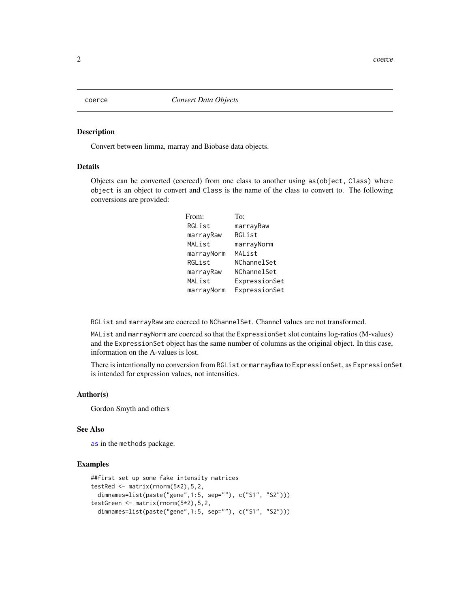<span id="page-1-0"></span>

#### Description

Convert between limma, marray and Biobase data objects.

#### Details

Objects can be converted (coerced) from one class to another using as(object, Class) where object is an object to convert and Class is the name of the class to convert to. The following conversions are provided:

| From:      | To:           |
|------------|---------------|
| RGList     | marrayRaw     |
| marrayRaw  | RGList        |
| MAList     | marrayNorm    |
| marrayNorm | MAList        |
| RGList     | NChannelSet   |
| marrayRaw  | NChannelSet   |
| MAList     | ExpressionSet |
| marrayNorm | ExpressionSet |

RGList and marrayRaw are coerced to NChannelSet. Channel values are not transformed.

MAList and marrayNorm are coerced so that the ExpressionSet slot contains log-ratios (M-values) and the ExpressionSet object has the same number of columns as the original object. In this case, information on the A-values is lost.

There is intentionally no conversion from RGList or marrayRaw to ExpressionSet, as ExpressionSet is intended for expression values, not intensities.

#### Author(s)

Gordon Smyth and others

#### See Also

[as](#page-0-0) in the methods package.

#### Examples

```
##first set up some fake intensity matrices
testRed \leq matrix(rnorm(5*2), 5, 2,
 dimnames=list(paste("gene",1:5, sep=""), c("S1", "S2")))
testGreen <- matrix(rnorm(5*2),5,2,
 dimnames=list(paste("gene",1:5, sep=""), c("S1", "S2")))
```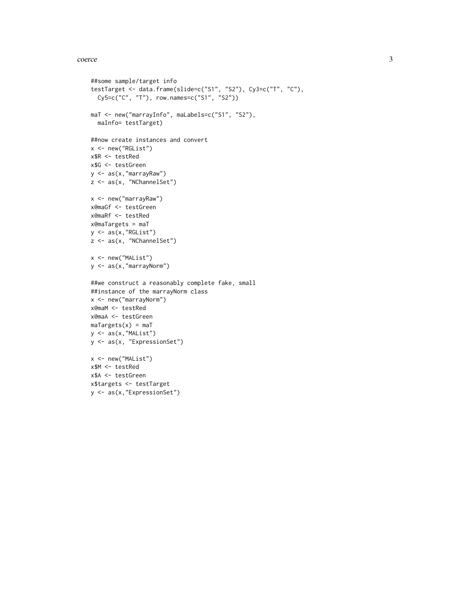#### coerce 3

```
##some sample/target info
testTarget <- data.frame(slide=c("S1", "S2"), Cy3=c("T", "C"),
  Cy5=c("C", "T"), row.names=c("S1", "S2"))
maT <- new("marrayInfo", maLabels=c("S1", "S2"),
 maInfo= testTarget)
##now create instances and convert
x <- new("RGList")
x$R <- testRed
x$G <- testGreen
y <- as(x,"marrayRaw")
z <- as(x, "NChannelSet")
x <- new("marrayRaw")
x@maGf <- testGreen
x@maRf <- testRed
x@maTargets = maT
y <- as(x,"RGList")
z <- as(x, "NChannelSet")
x \le - new("MAList")
y <- as(x,"marrayNorm")
##we construct a reasonably complete fake, small
##instance of the marrayNorm class
x <- new("marrayNorm")
x@maM <- testRed
x@maA <- testGreen
maxP</math>y \leftarrow as(x, "MAList")y <- as(x, "ExpressionSet")
x <- new("MAList")
x$M <- testRed
x$A <- testGreen
x$targets <- testTarget
y <- as(x,"ExpressionSet")
```